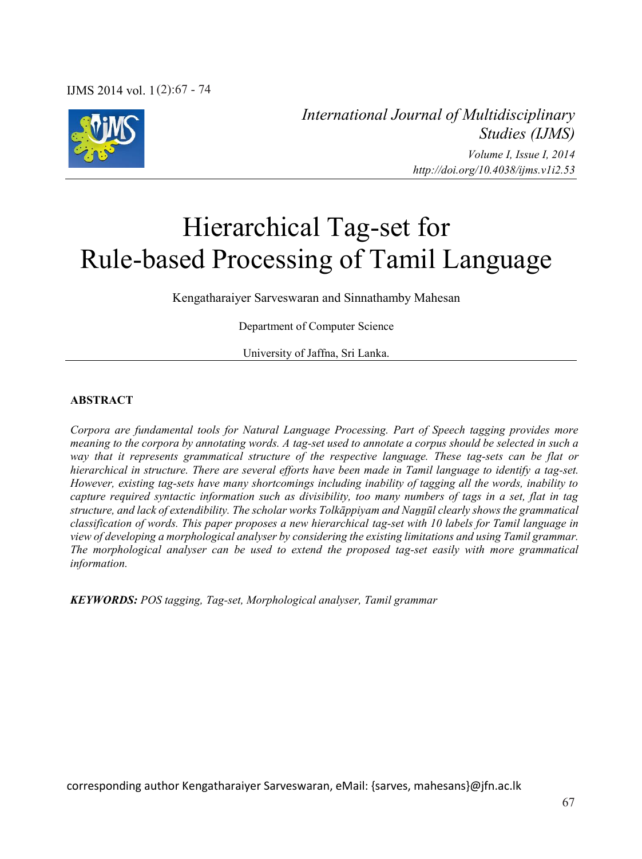

*International Journal of Multidisciplinary Studies (IJMS) Volume I, Issue I, 2014 http://doi.org/10.4038/ijms.v1i2.53*

# Hierarchical Tag-set for Rule-based Processing of Tamil Language

Kengatharaiyer Sarveswaran and Sinnathamby Mahesan

Department of Computer Science

University of Jaffna, Sri Lanka.

#### **ABSTRACT**

*Corpora are fundamental tools for Natural Language Processing. Part of Speech tagging provides more meaning to the corpora by annotating words. A tag-set used to annotate a corpus should be selected in such a way that it represents grammatical structure of the respective language. These tag-sets can be flat or hierarchical in structure. There are several efforts have been made in Tamil language to identify a tag-set. However, existing tag-sets have many shortcomings including inability of tagging all the words, inability to capture required syntactic information such as divisibility, too many numbers of tags in a set, flat in tag structure, and lack of extendibility. The scholar works Tolkāppiyam and Naṉṉūl clearly shows the grammatical classification of words. This paper proposes a new hierarchical tag-set with 10 labels for Tamil language in view of developing a morphological analyser by considering the existing limitations and using Tamil grammar. The morphological analyser can be used to extend the proposed tag-set easily with more grammatical information.* 

*KEYWORDS: POS tagging, Tag-set, Morphological analyser, Tamil grammar*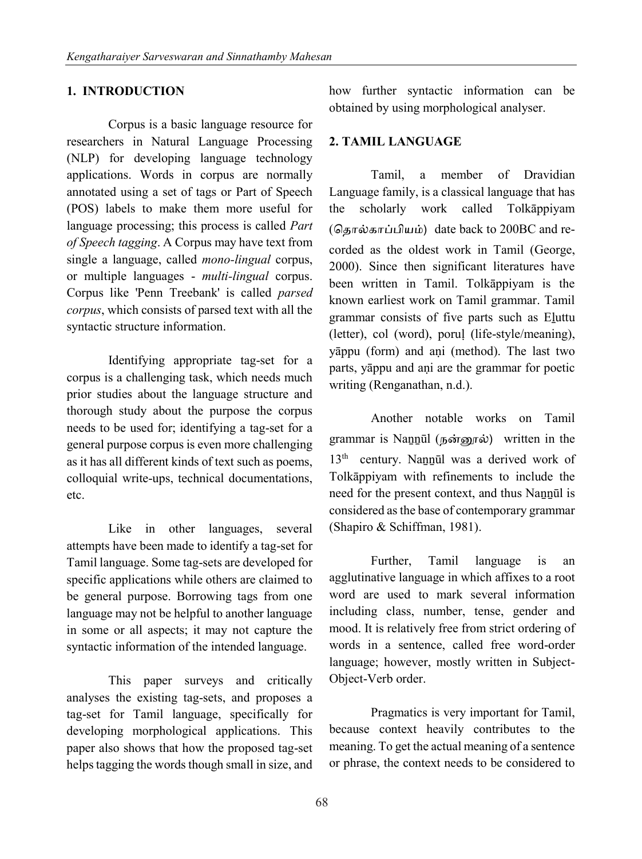## **1. INTRODUCTION**

Corpus is a basic language resource for researchers in Natural Language Processing (NLP) for developing language technology applications. Words in corpus are normally annotated using a set of tags or Part of Speech (POS) labels to make them more useful for language processing; this process is called *Part of Speech tagging*. A Corpus may have text from single a language, called *mono-lingual* corpus, or multiple languages - *multi-lingual* corpus. Corpus like 'Penn Treebank' is called *parsed corpus*, which consists of parsed text with all the syntactic structure information.

Identifying appropriate tag-set for a corpus is a challenging task, which needs much prior studies about the language structure and thorough study about the purpose the corpus needs to be used for; identifying a tag-set for a general purpose corpus is even more challenging as it has all different kinds of text such as poems, colloquial write-ups, technical documentations, etc.

Like in other languages, several attempts have been made to identify a tag-set for Tamil language. Some tag-sets are developed for specific applications while others are claimed to be general purpose. Borrowing tags from one language may not be helpful to another language in some or all aspects; it may not capture the syntactic information of the intended language.

This paper surveys and critically analyses the existing tag-sets, and proposes a tag-set for Tamil language, specifically for developing morphological applications. This paper also shows that how the proposed tag-set helps tagging the words though small in size, and

how further syntactic information can be obtained by using morphological analyser.

## **2. TAMIL LANGUAGE**

Tamil, a member of Dravidian Language family, is a classical language that has the scholarly work called Tolkāppiyam (ெதால்காப்பியம்) date back to 200BC and recorded as the oldest work in Tamil (George, 2000). Since then significant literatures have been written in Tamil. Tolkāppiyam is the known earliest work on Tamil grammar. Tamil grammar consists of five parts such as Eḻuttu (letter), col (word), poruḷ (life-style/meaning), yāppu (form) and aṇi (method). The last two parts, yāppu and aṇi are the grammar for poetic writing (Renganathan, n.d.).

Another notable works on Tamil grammar is Naṉṉūl (நன்�ல்) written in the 13<sup>th</sup> century. Nannūl was a derived work of Tolkāppiyam with refinements to include the need for the present context, and thus Nannūl is considered as the base of contemporary grammar (Shapiro & Schiffman, 1981).

Further, Tamil language is an agglutinative language in which affixes to a root word are used to mark several information including class, number, tense, gender and mood. It is relatively free from strict ordering of words in a sentence, called free word-order language; however, mostly written in Subject-Object-Verb order.

Pragmatics is very important for Tamil, because context heavily contributes to the meaning. To get the actual meaning of a sentence or phrase, the context needs to be considered to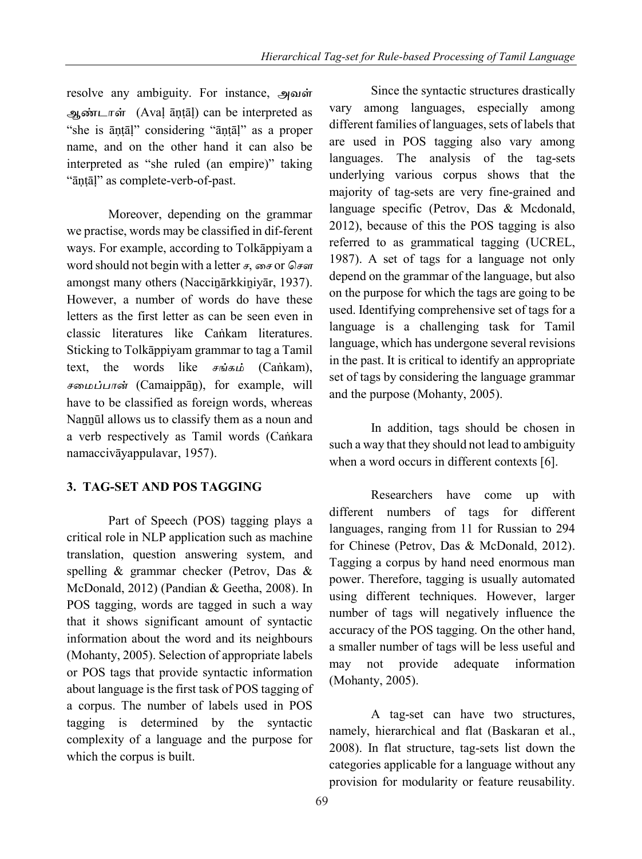resolve any ambiguity. For instance, அவள் ஆண்டாள் (Avaḷ āṇṭāḷ) can be interpreted as "she is āṇṭāḷ" considering "āṇṭāḷ" as a proper name, and on the other hand it can also be interpreted as "she ruled (an empire)" taking "āṇṭāḷ" as complete-verb-of-past.

Moreover, depending on the grammar we practise, words may be classified in dif-ferent ways. For example, according to Tolkāppiyam a word should not begin with a letter  $\overline{f}$ , சை or செள amongst many others (Naccinārkkiniyār, 1937). However, a number of words do have these letters as the first letter as can be seen even in classic literatures like Caṅkam literatures. Sticking to Tolkāppiyam grammar to tag a Tamil text, the words like சங்கம் (Caṅkam), சைமப்பான் (Camaippāṉ), for example, will have to be classified as foreign words, whereas Nannūl allows us to classify them as a noun and a verb respectively as Tamil words (Caṅkara namaccivāyappulavar, 1957).

# **3. TAG-SET AND POS TAGGING**

Part of Speech (POS) tagging plays a critical role in NLP application such as machine translation, question answering system, and spelling & grammar checker (Petrov, Das & McDonald, 2012) (Pandian & Geetha, 2008). In POS tagging, words are tagged in such a way that it shows significant amount of syntactic information about the word and its neighbours (Mohanty, 2005). Selection of appropriate labels or POS tags that provide syntactic information about language is the first task of POS tagging of a corpus. The number of labels used in POS tagging is determined by the syntactic complexity of a language and the purpose for which the corpus is built.

Since the syntactic structures drastically vary among languages, especially among different families of languages, sets of labels that are used in POS tagging also vary among languages. The analysis of the tag-sets underlying various corpus shows that the majority of tag-sets are very fine-grained and language specific (Petrov, Das & Mcdonald, 2012), because of this the POS tagging is also referred to as grammatical tagging (UCREL, 1987). A set of tags for a language not only depend on the grammar of the language, but also on the purpose for which the tags are going to be used. Identifying comprehensive set of tags for a language is a challenging task for Tamil language, which has undergone several revisions in the past. It is critical to identify an appropriate set of tags by considering the language grammar and the purpose (Mohanty, 2005).

In addition, tags should be chosen in such a way that they should not lead to ambiguity when a word occurs in different contexts [6].

Researchers have come up with different numbers of tags for different languages, ranging from 11 for Russian to 294 for Chinese (Petrov, Das & McDonald, 2012). Tagging a corpus by hand need enormous man power. Therefore, tagging is usually automated using different techniques. However, larger number of tags will negatively influence the accuracy of the POS tagging. On the other hand, a smaller number of tags will be less useful and may not provide adequate information (Mohanty, 2005).

A tag-set can have two structures, namely, hierarchical and flat (Baskaran et al., 2008). In flat structure, tag-sets list down the categories applicable for a language without any provision for modularity or feature reusability.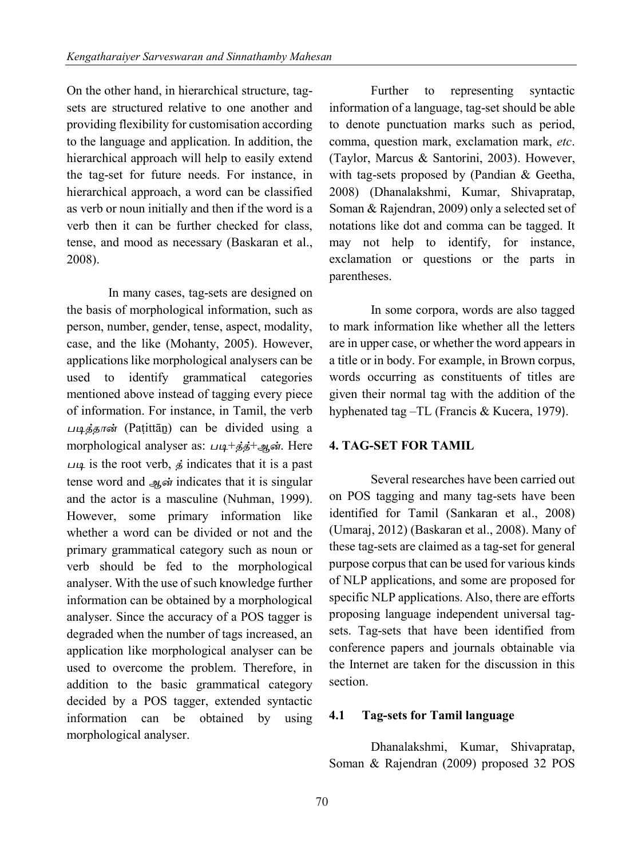On the other hand, in hierarchical structure, tagsets are structured relative to one another and providing flexibility for customisation according to the language and application. In addition, the hierarchical approach will help to easily extend the tag-set for future needs. For instance, in hierarchical approach, a word can be classified as verb or noun initially and then if the word is a verb then it can be further checked for class, tense, and mood as necessary (Baskaran et al., 2008).

In many cases, tag-sets are designed on the basis of morphological information, such as person, number, gender, tense, aspect, modality, case, and the like (Mohanty, 2005). However, applications like morphological analysers can be used to identify grammatical categories mentioned above instead of tagging every piece of information. For instance, in Tamil, the verb ப�த்தான் (Paṭittāṉ) can be divided using a morphological analyser as: படி+த்த்+ஆன். Here படி is the root verb,  $\vec{s}$  indicates that it is a past tense word and ஆன் indicates that it is singular and the actor is a masculine (Nuhman, 1999). However, some primary information like whether a word can be divided or not and the primary grammatical category such as noun or verb should be fed to the morphological analyser. With the use of such knowledge further information can be obtained by a morphological analyser. Since the accuracy of a POS tagger is degraded when the number of tags increased, an application like morphological analyser can be used to overcome the problem. Therefore, in addition to the basic grammatical category decided by a POS tagger, extended syntactic information can be obtained by using morphological analyser.

Further to representing syntactic information of a language, tag-set should be able to denote punctuation marks such as period, comma, question mark, exclamation mark, *etc*. (Taylor, Marcus & Santorini, 2003). However, with tag-sets proposed by (Pandian & Geetha, 2008) (Dhanalakshmi, Kumar, Shivapratap, Soman & Rajendran, 2009) only a selected set of notations like dot and comma can be tagged. It may not help to identify, for instance, exclamation or questions or the parts in parentheses.

In some corpora, words are also tagged to mark information like whether all the letters are in upper case, or whether the word appears in a title or in body. For example, in Brown corpus, words occurring as constituents of titles are given their normal tag with the addition of the hyphenated tag –TL (Francis & Kucera, 1979).

#### **4. TAG-SET FOR TAMIL**

Several researches have been carried out on POS tagging and many tag-sets have been identified for Tamil (Sankaran et al., 2008) (Umaraj, 2012) (Baskaran et al., 2008). Many of these tag-sets are claimed as a tag-set for general purpose corpus that can be used for various kinds of NLP applications, and some are proposed for specific NLP applications. Also, there are efforts proposing language independent universal tagsets. Tag-sets that have been identified from conference papers and journals obtainable via the Internet are taken for the discussion in this section.

#### **4.1 Tag-sets for Tamil language**

Dhanalakshmi, Kumar, Shivapratap, Soman & Rajendran (2009) proposed 32 POS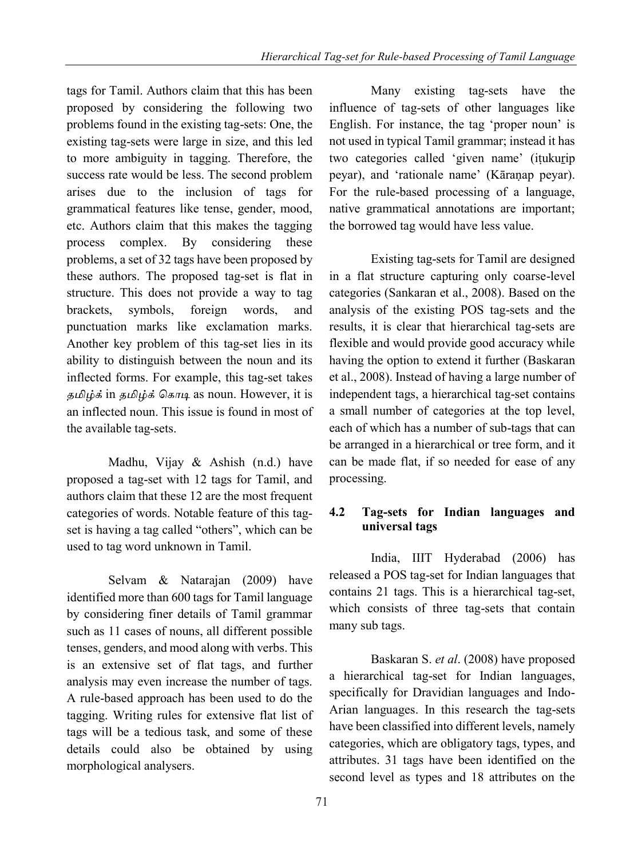tags for Tamil. Authors claim that this has been proposed by considering the following two problems found in the existing tag-sets: One, the existing tag-sets were large in size, and this led to more ambiguity in tagging. Therefore, the success rate would be less. The second problem arises due to the inclusion of tags for grammatical features like tense, gender, mood, etc. Authors claim that this makes the tagging process complex. By considering these problems, a set of 32 tags have been proposed by these authors. The proposed tag-set is flat in structure. This does not provide a way to tag brackets, symbols, foreign words, and punctuation marks like exclamation marks. Another key problem of this tag-set lies in its ability to distinguish between the noun and its inflected forms. For example, this tag-set takes தமிழ்க் in தமிழ்க் கொடி as noun. However, it is an inflected noun. This issue is found in most of the available tag-sets.

Madhu, Vijay & Ashish (n.d.) have proposed a tag-set with 12 tags for Tamil, and authors claim that these 12 are the most frequent categories of words. Notable feature of this tagset is having a tag called "others", which can be used to tag word unknown in Tamil.

Selvam & Natarajan (2009) have identified more than 600 tags for Tamil language by considering finer details of Tamil grammar such as 11 cases of nouns, all different possible tenses, genders, and mood along with verbs. This is an extensive set of flat tags, and further analysis may even increase the number of tags. A rule-based approach has been used to do the tagging. Writing rules for extensive flat list of tags will be a tedious task, and some of these details could also be obtained by using morphological analysers.

Many existing tag-sets have the influence of tag-sets of other languages like English. For instance, the tag 'proper noun' is not used in typical Tamil grammar; instead it has two categories called 'given name' (itukurip peyar), and 'rationale name' (Kāraṇap peyar). For the rule-based processing of a language, native grammatical annotations are important; the borrowed tag would have less value.

Existing tag-sets for Tamil are designed in a flat structure capturing only coarse-level categories (Sankaran et al., 2008). Based on the analysis of the existing POS tag-sets and the results, it is clear that hierarchical tag-sets are flexible and would provide good accuracy while having the option to extend it further (Baskaran et al., 2008). Instead of having a large number of independent tags, a hierarchical tag-set contains a small number of categories at the top level, each of which has a number of sub-tags that can be arranged in a hierarchical or tree form, and it can be made flat, if so needed for ease of any processing.

# **4.2 Tag-sets for Indian languages and universal tags**

India, IIIT Hyderabad (2006) has released a POS tag-set for Indian languages that contains 21 tags. This is a hierarchical tag-set, which consists of three tag-sets that contain many sub tags.

Baskaran S. *et al*. (2008) have proposed a hierarchical tag-set for Indian languages, specifically for Dravidian languages and Indo-Arian languages. In this research the tag-sets have been classified into different levels, namely categories, which are obligatory tags, types, and attributes. 31 tags have been identified on the second level as types and 18 attributes on the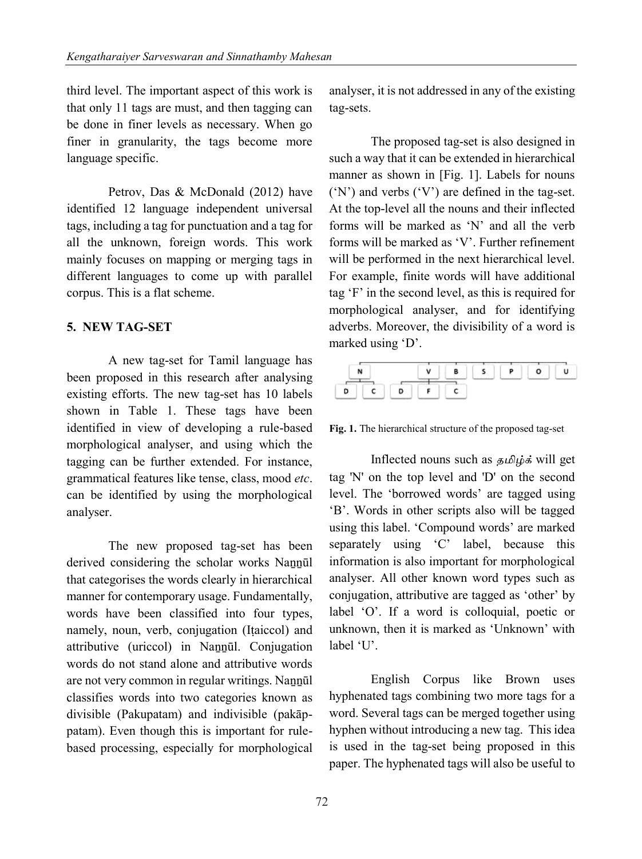third level. The important aspect of this work is that only 11 tags are must, and then tagging can be done in finer levels as necessary. When go finer in granularity, the tags become more language specific.

Petrov, Das & McDonald (2012) have identified 12 language independent universal tags, including a tag for punctuation and a tag for all the unknown, foreign words. This work mainly focuses on mapping or merging tags in different languages to come up with parallel corpus. This is a flat scheme.

#### **5. NEW TAG-SET**

A new tag-set for Tamil language has been proposed in this research after analysing existing efforts. The new tag-set has 10 labels shown in Table 1. These tags have been identified in view of developing a rule-based morphological analyser, and using which the tagging can be further extended. For instance, grammatical features like tense, class, mood *etc*. can be identified by using the morphological analyser.

The new proposed tag-set has been derived considering the scholar works Naṉṉūl that categorises the words clearly in hierarchical manner for contemporary usage. Fundamentally, words have been classified into four types, namely, noun, verb, conjugation (Iṭaiccol) and attributive (uriccol) in Naṉṉūl. Conjugation words do not stand alone and attributive words are not very common in regular writings. Nannūl classifies words into two categories known as divisible (Pakupatam) and indivisible (pakāppatam). Even though this is important for rulebased processing, especially for morphological

analyser, it is not addressed in any of the existing tag-sets.

The proposed tag-set is also designed in such a way that it can be extended in hierarchical manner as shown in [Fig. 1]. Labels for nouns ('N') and verbs ('V') are defined in the tag-set. At the top-level all the nouns and their inflected forms will be marked as 'N' and all the verb forms will be marked as 'V'. Further refinement will be performed in the next hierarchical level. For example, finite words will have additional tag 'F' in the second level, as this is required for morphological analyser, and for identifying adverbs. Moreover, the divisibility of a word is marked using 'D'.

|  |  |  | v |  | Ð |  |
|--|--|--|---|--|---|--|
|  |  |  |   |  |   |  |

**Fig. 1.** The hierarchical structure of the proposed tag-set

Inflected nouns such as த�ழ்க் will get tag 'N' on the top level and 'D' on the second level. The 'borrowed words' are tagged using 'B'. Words in other scripts also will be tagged using this label. 'Compound words' are marked separately using 'C' label, because this information is also important for morphological analyser. All other known word types such as conjugation, attributive are tagged as 'other' by label 'O'. If a word is colloquial, poetic or unknown, then it is marked as 'Unknown' with label 'U'.

English Corpus like Brown uses hyphenated tags combining two more tags for a word. Several tags can be merged together using hyphen without introducing a new tag. This idea is used in the tag-set being proposed in this paper. The hyphenated tags will also be useful to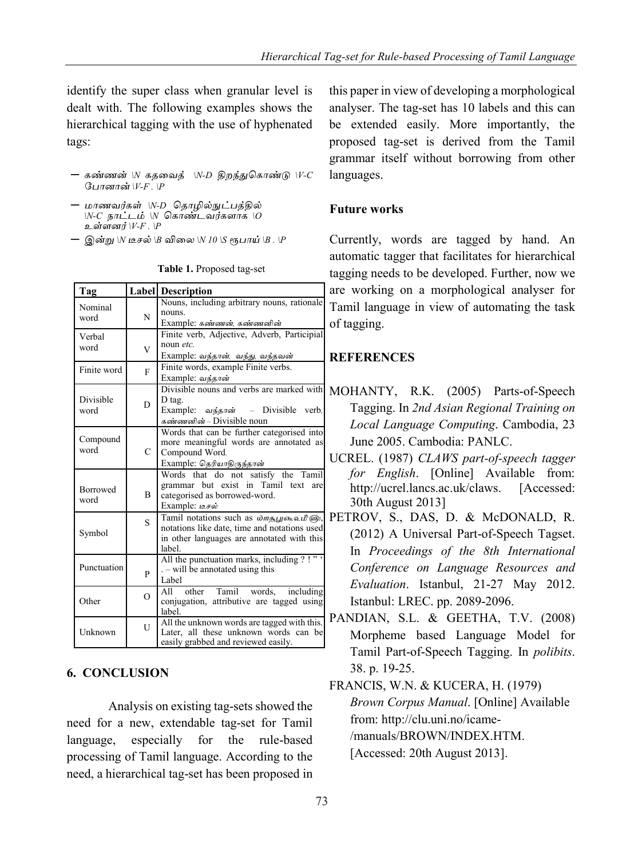identify the super class when granular level is dealt with. The following examples shows the hierarchical tagging with the use of hyphenated tags:

- $-$  கண்ணன் \N கதவைத் \N-D திறந்துகொண்டு \V-C போனான்  $V-F$  .  $\mathbb{P}$
- மாணவர்கள் ∖N-D தொழில்நுட்பத்தில்  $\overline{N}$ -*C* நாட்டம்  $\overline{N}$  கொண்டவர்களாக  $\overline{O}$ உள்ளனர்  $V-F$  .  $P$
- இன்று \N டீசல் \B விலை \N 10 \S ரூபாய் \B . \P

| Tag                     |                | <b>Label</b> Description                                                                                                                    |  |  |  |
|-------------------------|----------------|---------------------------------------------------------------------------------------------------------------------------------------------|--|--|--|
| Nominal<br>word         | N              | Nouns, including arbitrary nouns, rationale<br>nouns.<br>Example: கண்ணன், கண்ணனின்                                                          |  |  |  |
| Verbal<br>word          | V              | Finite verb, Adjective, Adverb, Participial<br>noun etc.<br>Example: வந்தான், வந்து, வந்தவன்                                                |  |  |  |
| Finite word             | $\overline{F}$ | Finite words, example Finite verbs.<br>Example: வந்தான்                                                                                     |  |  |  |
| Divisible<br>word       | D              | Divisible nouns and verbs are marked with<br>D tag.<br>- Divisible verb.<br>Example: வந்தான்<br>கண்ணனின் – Divisible noun                   |  |  |  |
| Compound<br>word        | $\mathbf{C}$   | Words that can be further categorised into<br>more meaningful words are annotated as<br>Compound Word.<br>Example: தெரியாதிருந்தான்         |  |  |  |
| <b>Borrowed</b><br>word | $\overline{B}$ | Words that do not satisfy the Tamil<br>grammar but exist in Tamil text are<br>categorised as borrowed-word.<br>Example: Lesi                |  |  |  |
| Symbol                  | S              | Tamil notations such as மாதபூகையீடு,<br>notations like date, time and notations used<br>in other languages are annotated with this<br>label |  |  |  |
| Punctuation             | P              | All the punctuation marks, including ?!"<br>. – will be annotated using this<br>Label                                                       |  |  |  |
| Other                   | $\Omega$       | other Tamil words, including<br>All<br>conjugation, attributive are tagged using<br>label.                                                  |  |  |  |
| Unknown                 | $\overline{U}$ | All the unknown words are tagged with this.<br>Later, all these unknown words can be<br>easily grabbed and reviewed easily.                 |  |  |  |

**Table 1.** Proposed tag-set

# **6. CONCLUSION**

Analysis on existing tag-sets showed the need for a new, extendable tag-set for Tamil language, especially for the rule-based processing of Tamil language. According to the need, a hierarchical tag-set has been proposed in this paper in view of developing a morphological analyser. The tag-set has 10 labels and this can be extended easily. More importantly, the proposed tag-set is derived from the Tamil grammar itself without borrowing from other languages.

## **Future works**

Currently, words are tagged by hand. An automatic tagger that facilitates for hierarchical tagging needs to be developed. Further, now we are working on a morphological analyser for Tamil language in view of automating the task of tagging.

# **REFERENCES**

- MOHANTY, R.K. (2005) Parts-of-Speech Tagging. In *2nd Asian Regional Training on Local Language Computing*. Cambodia, 23 June 2005. Cambodia: PANLC.
- UCREL. (1987) *CLAWS part-of-speech tagger for English*. [Online] Available from: http://ucrel.lancs.ac.uk/claws. [Accessed: 30th August 2013]
- PETROV, S., DAS, D. & McDONALD, R. (2012) A Universal Part-of-Speech Tagset. In *Proceedings of the 8th International Conference on Language Resources and Evaluation*. Istanbul, 21-27 May 2012. Istanbul: LREC. pp. 2089-2096.
- PANDIAN, S.L. & GEETHA, T.V. (2008) Morpheme based Language Model for Tamil Part-of-Speech Tagging. In *polibits*. 38. p. 19-25.
- FRANCIS, W.N. & KUCERA, H. (1979) *Brown Corpus Manual*. [Online] Available from: http://clu.uni.no/icame- /manuals/BROWN/INDEX HTM [Accessed: 20th August 2013].